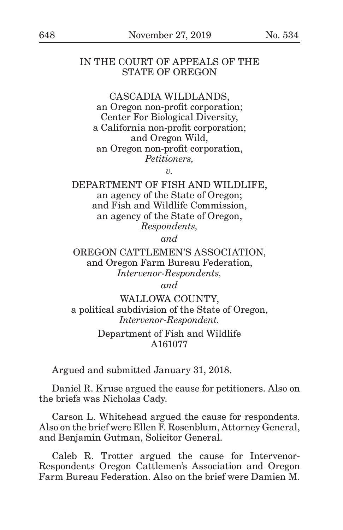### IN THE COURT OF APPEALS OF THE STATE OF OREGON

#### CASCADIA WILDLANDS,

an Oregon non-profit corporation; Center For Biological Diversity, a California non-profit corporation; and Oregon Wild, an Oregon non-profit corporation, *Petitioners,*

*v.*

DEPARTMENT OF FISH AND WILDLIFE, an agency of the State of Oregon; and Fish and Wildlife Commission, an agency of the State of Oregon, *Respondents,*

*and*

OREGON CATTLEMEN'S ASSOCIATION, and Oregon Farm Bureau Federation, *Intervenor-Respondents,*

*and*

WALLOWA COUNTY, a political subdivision of the State of Oregon, *Intervenor-Respondent.*

### Department of Fish and Wildlife A161077

Argued and submitted January 31, 2018.

Daniel R. Kruse argued the cause for petitioners. Also on the briefs was Nicholas Cady.

Carson L. Whitehead argued the cause for respondents. Also on the brief were Ellen F. Rosenblum, Attorney General, and Benjamin Gutman, Solicitor General.

Caleb R. Trotter argued the cause for Intervenor-Respondents Oregon Cattlemen's Association and Oregon Farm Bureau Federation. Also on the brief were Damien M.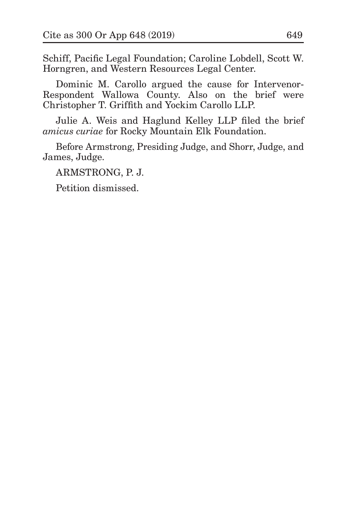Schiff, Pacific Legal Foundation; Caroline Lobdell, Scott W. Horngren, and Western Resources Legal Center.

Dominic M. Carollo argued the cause for Intervenor-Respondent Wallowa County. Also on the brief were Christopher T. Griffith and Yockim Carollo LLP.

Julie A. Weis and Haglund Kelley LLP filed the brief *amicus curiae* for Rocky Mountain Elk Foundation.

Before Armstrong, Presiding Judge, and Shorr, Judge, and James, Judge.

ARMSTRONG, P. J.

Petition dismissed.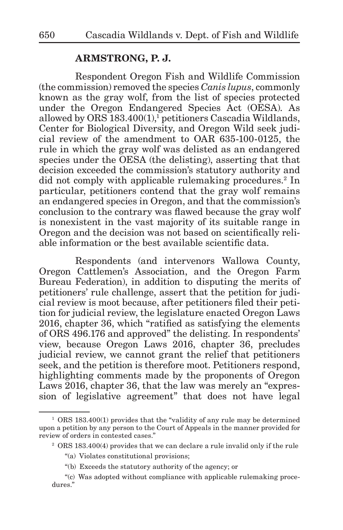# **ARMSTRONG, P. J.**

Respondent Oregon Fish and Wildlife Commission (the commission) removed the species *Canis lupus*, commonly known as the gray wolf, from the list of species protected under the Oregon Endangered Species Act (OESA). As allowed by ORS 183.400(1),<sup>1</sup> petitioners Cascadia Wildlands, Center for Biological Diversity, and Oregon Wild seek judicial review of the amendment to OAR 635-100-0125, the rule in which the gray wolf was delisted as an endangered species under the OESA (the delisting), asserting that that decision exceeded the commission's statutory authority and did not comply with applicable rulemaking procedures.<sup>2</sup> In particular, petitioners contend that the gray wolf remains an endangered species in Oregon, and that the commission's conclusion to the contrary was flawed because the gray wolf is nonexistent in the vast majority of its suitable range in Oregon and the decision was not based on scientifically reliable information or the best available scientific data.

Respondents (and intervenors Wallowa County, Oregon Cattlemen's Association, and the Oregon Farm Bureau Federation), in addition to disputing the merits of petitioners' rule challenge, assert that the petition for judicial review is moot because, after petitioners filed their petition for judicial review, the legislature enacted Oregon Laws 2016, chapter 36, which "ratified as satisfying the elements of ORS 496.176 and approved" the delisting. In respondents' view, because Oregon Laws 2016, chapter 36, precludes judicial review, we cannot grant the relief that petitioners seek, and the petition is therefore moot. Petitioners respond, highlighting comments made by the proponents of Oregon Laws 2016, chapter 36, that the law was merely an "expression of legislative agreement" that does not have legal

<sup>&</sup>lt;sup>1</sup> ORS 183.400(1) provides that the "validity of any rule may be determined upon a petition by any person to the Court of Appeals in the manner provided for review of orders in contested cases."

<sup>2</sup> ORS 183.400(4) provides that we can declare a rule invalid only if the rule

<sup>&</sup>quot;(a) Violates constitutional provisions;

<sup>&</sup>quot;(b) Exceeds the statutory authority of the agency; or

<sup>&</sup>quot;(c) Was adopted without compliance with applicable rulemaking procedures."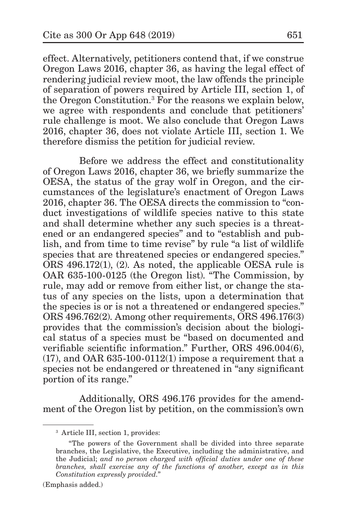effect. Alternatively, petitioners contend that, if we construe Oregon Laws 2016, chapter 36, as having the legal effect of rendering judicial review moot, the law offends the principle of separation of powers required by Article III, section 1, of the Oregon Constitution.<sup>3</sup> For the reasons we explain below, we agree with respondents and conclude that petitioners' rule challenge is moot. We also conclude that Oregon Laws 2016, chapter 36, does not violate Article III, section 1. We therefore dismiss the petition for judicial review.

Before we address the effect and constitutionality of Oregon Laws 2016, chapter 36, we briefly summarize the OESA, the status of the gray wolf in Oregon, and the circumstances of the legislature's enactment of Oregon Laws 2016, chapter 36. The OESA directs the commission to "conduct investigations of wildlife species native to this state and shall determine whether any such species is a threatened or an endangered species" and to "establish and publish, and from time to time revise" by rule "a list of wildlife species that are threatened species or endangered species." ORS 496.172(1), (2). As noted, the applicable OESA rule is OAR 635-100-0125 (the Oregon list). "The Commission, by rule, may add or remove from either list, or change the status of any species on the lists, upon a determination that the species is or is not a threatened or endangered species." ORS 496.762(2). Among other requirements, ORS 496.176(3) provides that the commission's decision about the biological status of a species must be "based on documented and verifiable scientific information." Further, ORS 496.004(6),  $(17)$ , and OAR 635-100-0112 $(1)$  impose a requirement that a species not be endangered or threatened in "any significant portion of its range."

Additionally, ORS 496.176 provides for the amendment of the Oregon list by petition, on the commission's own

(Emphasis added.)

<sup>3</sup> Article III, section 1, provides:

<sup>&</sup>quot;The powers of the Government shall be divided into three separate branches, the Legislative, the Executive, including the administrative, and the Judicial; *and no person charged with official duties under one of these branches, shall exercise any of the functions of another, except as in this Constitution expressly provided.*"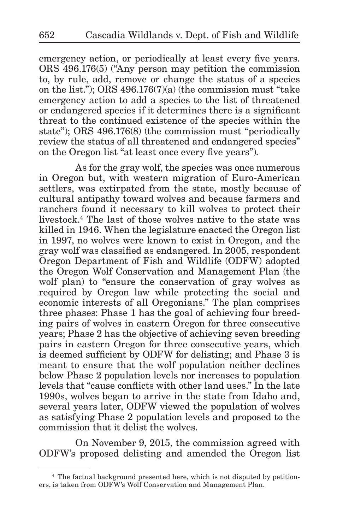emergency action, or periodically at least every five years. ORS 496.176(5) ("Any person may petition the commission to, by rule, add, remove or change the status of a species on the list."); ORS 496.176(7)(a) (the commission must "take emergency action to add a species to the list of threatened or endangered species if it determines there is a significant threat to the continued existence of the species within the state"); ORS 496.176(8) (the commission must "periodically review the status of all threatened and endangered species" on the Oregon list "at least once every five years").

As for the gray wolf, the species was once numerous in Oregon but, with western migration of Euro-American settlers, was extirpated from the state, mostly because of cultural antipathy toward wolves and because farmers and ranchers found it necessary to kill wolves to protect their livestock.<sup>4</sup> The last of those wolves native to the state was killed in 1946. When the legislature enacted the Oregon list in 1997, no wolves were known to exist in Oregon, and the gray wolf was classified as endangered. In 2005, respondent Oregon Department of Fish and Wildlife (ODFW) adopted the Oregon Wolf Conservation and Management Plan (the wolf plan) to "ensure the conservation of gray wolves as required by Oregon law while protecting the social and economic interests of all Oregonians." The plan comprises three phases: Phase 1 has the goal of achieving four breeding pairs of wolves in eastern Oregon for three consecutive years; Phase 2 has the objective of achieving seven breeding pairs in eastern Oregon for three consecutive years, which is deemed sufficient by ODFW for delisting; and Phase 3 is meant to ensure that the wolf population neither declines below Phase 2 population levels nor increases to population levels that "cause conflicts with other land uses." In the late 1990s, wolves began to arrive in the state from Idaho and, several years later, ODFW viewed the population of wolves as satisfying Phase 2 population levels and proposed to the commission that it delist the wolves.

On November 9, 2015, the commission agreed with ODFW's proposed delisting and amended the Oregon list

<sup>4</sup> The factual background presented here, which is not disputed by petitioners, is taken from ODFW's Wolf Conservation and Management Plan.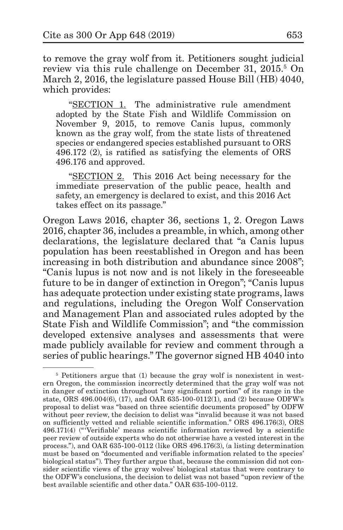to remove the gray wolf from it. Petitioners sought judicial review via this rule challenge on December 31, 2015.<sup>5</sup> On March 2, 2016, the legislature passed House Bill (HB) 4040, which provides:

"SECTION 1. The administrative rule amendment adopted by the State Fish and Wildlife Commission on November 9, 2015, to remove Canis lupus, commonly known as the gray wolf, from the state lists of threatened species or endangered species established pursuant to ORS 496.172 (2), is ratified as satisfying the elements of ORS 496.176 and approved.

"SECTION 2. This 2016 Act being necessary for the immediate preservation of the public peace, health and safety, an emergency is declared to exist, and this 2016 Act takes effect on its passage."

Oregon Laws 2016, chapter 36, sections 1, 2. Oregon Laws 2016, chapter 36, includes a preamble, in which, among other declarations, the legislature declared that "a Canis lupus population has been reestablished in Oregon and has been increasing in both distribution and abundance since 2008"; "Canis lupus is not now and is not likely in the foreseeable future to be in danger of extinction in Oregon"; "Canis lupus has adequate protection under existing state programs, laws and regulations, including the Oregon Wolf Conservation and Management Plan and associated rules adopted by the State Fish and Wildlife Commission"; and "the commission developed extensive analyses and assessments that were made publicly available for review and comment through a series of public hearings." The governor signed HB 4040 into

<sup>&</sup>lt;sup>5</sup> Petitioners argue that (1) because the gray wolf is nonexistent in western Oregon, the commission incorrectly determined that the gray wolf was not in danger of extinction throughout "any significant portion" of its range in the state, ORS 496.004(6), (17), and OAR 635-100-0112(1), and (2) because ODFW's proposal to delist was "based on three scientific documents proposed" by ODFW without peer review, the decision to delist was "invalid because it was not based on sufficiently vetted and reliable scientific information." ORS 496.176(3), ORS 496.171(4) ("'Verifiable' means scientific information reviewed by a scientific peer review of outside experts who do not otherwise have a vested interest in the process."), and OAR 635-100-0112 (like ORS 496.176(3), (a listing determination must be based on "documented and verifiable information related to the species' biological status"). They further argue that, because the commission did not consider scientific views of the gray wolves' biological status that were contrary to the ODFW's conclusions, the decision to delist was not based "upon review of the best available scientific and other data." OAR 635-100-0112.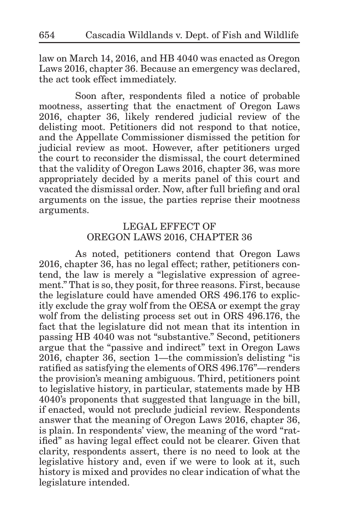law on March 14, 2016, and HB 4040 was enacted as Oregon Laws 2016, chapter 36. Because an emergency was declared, the act took effect immediately.

Soon after, respondents filed a notice of probable mootness, asserting that the enactment of Oregon Laws 2016, chapter 36, likely rendered judicial review of the delisting moot. Petitioners did not respond to that notice, and the Appellate Commissioner dismissed the petition for judicial review as moot. However, after petitioners urged the court to reconsider the dismissal, the court determined that the validity of Oregon Laws 2016, chapter 36, was more appropriately decided by a merits panel of this court and vacated the dismissal order. Now, after full briefing and oral arguments on the issue, the parties reprise their mootness arguments.

# LEGAL EFFECT OF OREGON LAWS 2016, CHAPTER 36

As noted, petitioners contend that Oregon Laws 2016, chapter 36, has no legal effect; rather, petitioners contend, the law is merely a "legislative expression of agreement." That is so, they posit, for three reasons. First, because the legislature could have amended ORS 496.176 to explicitly exclude the gray wolf from the OESA or exempt the gray wolf from the delisting process set out in ORS 496.176, the fact that the legislature did not mean that its intention in passing HB 4040 was not "substantive." Second, petitioners argue that the "passive and indirect" text in Oregon Laws 2016, chapter 36, section 1—the commission's delisting "is ratified as satisfying the elements of ORS 496.176"—renders the provision's meaning ambiguous. Third, petitioners point to legislative history, in particular, statements made by HB 4040's proponents that suggested that language in the bill, if enacted, would not preclude judicial review. Respondents answer that the meaning of Oregon Laws 2016, chapter 36, is plain. In respondents' view, the meaning of the word "ratified" as having legal effect could not be clearer. Given that clarity, respondents assert, there is no need to look at the legislative history and, even if we were to look at it, such history is mixed and provides no clear indication of what the legislature intended.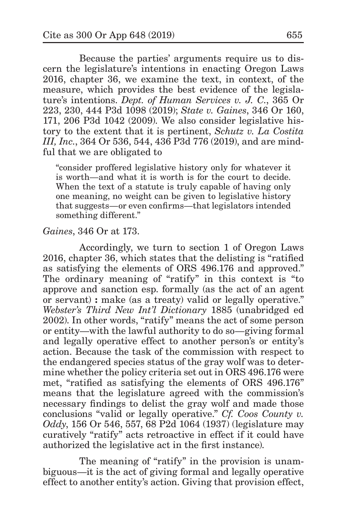Because the parties' arguments require us to discern the legislature's intentions in enacting Oregon Laws 2016, chapter 36, we examine the text, in context, of the measure, which provides the best evidence of the legislature's intentions. *Dept. of Human Services v. J. C.*, 365 Or 223, 230, 444 P3d 1098 (2019); *State v. Gaines*, 346 Or 160, 171, 206 P3d 1042 (2009). We also consider legislative history to the extent that it is pertinent, *Schutz v. La Costita III, Inc.*, 364 Or 536, 544, 436 P3d 776 (2019), and are mindful that we are obligated to

"consider proffered legislative history only for whatever it is worth—and what it is worth is for the court to decide. When the text of a statute is truly capable of having only one meaning, no weight can be given to legislative history that suggests—or even confirms—that legislators intended something different."

#### *Gaines*, 346 Or at 173.

Accordingly, we turn to section 1 of Oregon Laws 2016, chapter 36, which states that the delisting is "ratified as satisfying the elements of ORS 496.176 and approved." The ordinary meaning of "ratify" in this context is "to approve and sanction esp. formally (as the act of an agent or servant) **:** make (as a treaty) valid or legally operative." *Webster's Third New Int'l Dictionary* 1885 (unabridged ed 2002). In other words, "ratify" means the act of some person or entity—with the lawful authority to do so—giving formal and legally operative effect to another person's or entity's action. Because the task of the commission with respect to the endangered species status of the gray wolf was to determine whether the policy criteria set out in ORS 496.176 were met, "ratified as satisfying the elements of ORS 496.176" means that the legislature agreed with the commission's necessary findings to delist the gray wolf and made those conclusions "valid or legally operative." *Cf. Coos County v. Oddy*, 156 Or 546, 557, 68 P2d 1064 (1937) (legislature may curatively "ratify" acts retroactive in effect if it could have authorized the legislative act in the first instance).

The meaning of "ratify" in the provision is unambiguous—it is the act of giving formal and legally operative effect to another entity's action. Giving that provision effect,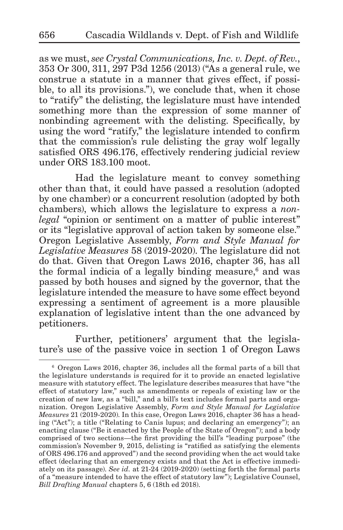as we must, *see Crystal Communications, Inc. v. Dept. of Rev.*, 353 Or 300, 311, 297 P3d 1256 (2013) ("As a general rule, we construe a statute in a manner that gives effect, if possible, to all its provisions."), we conclude that, when it chose to "ratify" the delisting, the legislature must have intended something more than the expression of some manner of nonbinding agreement with the delisting. Specifically, by using the word "ratify," the legislature intended to confirm that the commission's rule delisting the gray wolf legally satisfied ORS 496.176, effectively rendering judicial review under ORS 183.100 moot.

Had the legislature meant to convey something other than that, it could have passed a resolution (adopted by one chamber) or a concurrent resolution (adopted by both chambers), which allows the legislature to express a *nonlegal* "opinion or sentiment on a matter of public interest" or its "legislative approval of action taken by someone else." Oregon Legislative Assembly, *Form and Style Manual for Legislative Measures* 58 (2019-2020). The legislature did not do that. Given that Oregon Laws 2016, chapter 36, has all the formal indicia of a legally binding measure,<sup>6</sup> and was passed by both houses and signed by the governor, that the legislature intended the measure to have some effect beyond expressing a sentiment of agreement is a more plausible explanation of legislative intent than the one advanced by petitioners.

Further, petitioners' argument that the legislature's use of the passive voice in section 1 of Oregon Laws

<sup>6</sup> Oregon Laws 2016, chapter 36, includes all the formal parts of a bill that the legislature understands is required for it to provide an enacted legislative measure with statutory effect. The legislature describes measures that have "the effect of statutory law," such as amendments or repeals of existing law or the creation of new law, as a "bill," and a bill's text includes formal parts and organization. Oregon Legislative Assembly, *Form and Style Manual for Legislative Measures* 21 (2019-2020). In this case, Oregon Laws 2016, chapter 36 has a heading ("Act"); a title ("Relating to Canis lupus; and declaring an emergency"); an enacting clause ("Be it enacted by the People of the State of Oregon"); and a body comprised of two sections—the first providing the bill's "leading purpose" (the commission's November 9, 2015, delisting is "ratified as satisfying the elements of ORS 496.176 and approved") and the second providing when the act would take effect (declaring that an emergency exists and that the Act is effective immediately on its passage). *See id.* at 21-24 (2019-2020) (setting forth the formal parts of a "measure intended to have the effect of statutory law"); Legislative Counsel, *Bill Drafting Manual* chapters 5, 6 (18th ed 2018).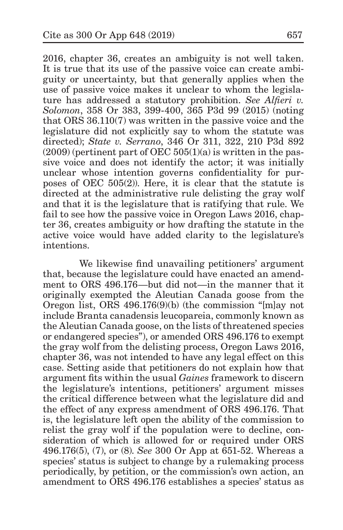2016, chapter 36, creates an ambiguity is not well taken. It is true that its use of the passive voice can create ambiguity or uncertainty, but that generally applies when the use of passive voice makes it unclear to whom the legislature has addressed a statutory prohibition. *See Alfieri v. Solomon*, 358 Or 383, 399-400, 365 P3d 99 (2015) (noting that ORS 36.110(7) was written in the passive voice and the legislature did not explicitly say to whom the statute was directed); *State v. Serrano*, 346 Or 311, 322, 210 P3d 892  $(2009)$  (pertinent part of OEC 505(1)(a) is written in the passive voice and does not identify the actor; it was initially unclear whose intention governs confidentiality for purposes of OEC 505(2)). Here, it is clear that the statute is directed at the administrative rule delisting the gray wolf and that it is the legislature that is ratifying that rule. We fail to see how the passive voice in Oregon Laws 2016, chapter 36, creates ambiguity or how drafting the statute in the active voice would have added clarity to the legislature's intentions.

We likewise find unavailing petitioners' argument that, because the legislature could have enacted an amendment to ORS 496.176—but did not—in the manner that it originally exempted the Aleutian Canada goose from the Oregon list, ORS 496.176(9)(b) (the commission "[m]ay not include Branta canadensis leucopareia, commonly known as the Aleutian Canada goose, on the lists of threatened species or endangered species"), or amended ORS 496.176 to exempt the gray wolf from the delisting process, Oregon Laws 2016, chapter 36, was not intended to have any legal effect on this case. Setting aside that petitioners do not explain how that argument fits within the usual *Gaines* framework to discern the legislature's intentions, petitioners' argument misses the critical difference between what the legislature did and the effect of any express amendment of ORS 496.176. That is, the legislature left open the ability of the commission to relist the gray wolf if the population were to decline, consideration of which is allowed for or required under ORS 496.176(5), (7), or (8). *See* 300 Or App at 651-52. Whereas a species' status is subject to change by a rulemaking process periodically, by petition, or the commission's own action, an amendment to ORS 496.176 establishes a species' status as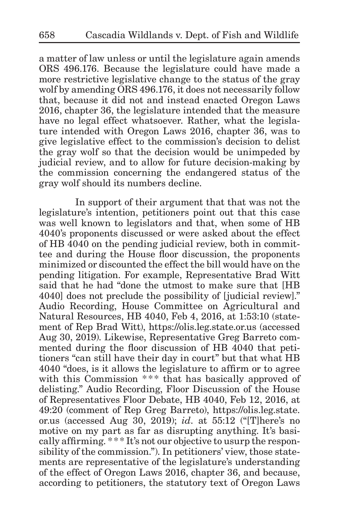a matter of law unless or until the legislature again amends ORS 496.176. Because the legislature could have made a more restrictive legislative change to the status of the gray wolf by amending ORS 496.176, it does not necessarily follow that, because it did not and instead enacted Oregon Laws 2016, chapter 36, the legislature intended that the measure have no legal effect whatsoever. Rather, what the legislature intended with Oregon Laws 2016, chapter 36, was to give legislative effect to the commission's decision to delist the gray wolf so that the decision would be unimpeded by judicial review, and to allow for future decision-making by the commission concerning the endangered status of the gray wolf should its numbers decline.

In support of their argument that that was not the legislature's intention, petitioners point out that this case was well known to legislators and that, when some of HB 4040's proponents discussed or were asked about the effect of HB 4040 on the pending judicial review, both in committee and during the House floor discussion, the proponents minimized or discounted the effect the bill would have on the pending litigation. For example, Representative Brad Witt said that he had "done the utmost to make sure that [HB 4040] does not preclude the possibility of [judicial review]." Audio Recording, House Committee on Agricultural and Natural Resources, HB 4040, Feb 4, 2016, at 1:53:10 (statement of Rep Brad Witt), https://olis.leg.state.or.us (accessed Aug 30, 2019). Likewise, Representative Greg Barreto commented during the floor discussion of HB 4040 that petitioners "can still have their day in court" but that what HB 4040 "does, is it allows the legislature to affirm or to agree with this Commission \*\*\* that has basically approved of delisting." Audio Recording, Floor Discussion of the House of Representatives Floor Debate, HB 4040, Feb 12, 2016, at 49:20 (comment of Rep Greg Barreto), https://olis.leg.state. or.us (accessed Aug 30, 2019); *id*. at 55:12 ("[T]here's no motive on my part as far as disrupting anything. It's basically affirming. \*\*\* It's not our objective to usurp the responsibility of the commission."). In petitioners' view, those statements are representative of the legislature's understanding of the effect of Oregon Laws 2016, chapter 36, and because, according to petitioners, the statutory text of Oregon Laws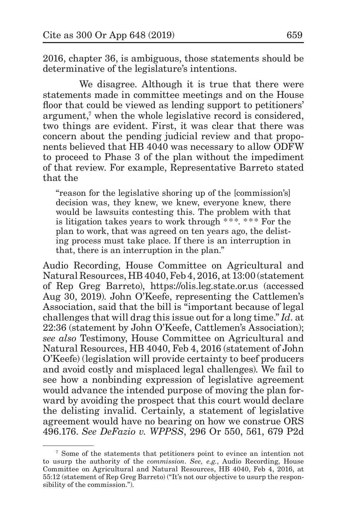2016, chapter 36, is ambiguous, those statements should be determinative of the legislature's intentions.

We disagree. Although it is true that there were statements made in committee meetings and on the House floor that could be viewed as lending support to petitioners' argument,<sup>7</sup> when the whole legislative record is considered, two things are evident. First, it was clear that there was concern about the pending judicial review and that proponents believed that HB 4040 was necessary to allow ODFW to proceed to Phase 3 of the plan without the impediment of that review. For example, Representative Barreto stated that the

"reason for the legislative shoring up of the [commission's] decision was, they knew, we knew, everyone knew, there would be lawsuits contesting this. The problem with that is litigation takes years to work through \*\*\*. \*\*\* For the plan to work, that was agreed on ten years ago, the delisting process must take place. If there is an interruption in that, there is an interruption in the plan."

Audio Recording, House Committee on Agricultural and Natural Resources, HB 4040, Feb 4, 2016, at 13:00 (statement of Rep Greg Barreto), https://olis.leg.state.or.us (accessed Aug 30, 2019). John O'Keefe, representing the Cattlemen's Association, said that the bill is "important because of legal challenges that will drag this issue out for a long time." *Id*. at 22:36 (statement by John O'Keefe, Cattlemen's Association); *see also* Testimony, House Committee on Agricultural and Natural Resources, HB 4040, Feb 4, 2016 (statement of John O'Keefe) (legislation will provide certainty to beef producers and avoid costly and misplaced legal challenges). We fail to see how a nonbinding expression of legislative agreement would advance the intended purpose of moving the plan forward by avoiding the prospect that this court would declare the delisting invalid. Certainly, a statement of legislative agreement would have no bearing on how we construe ORS 496.176. *See DeFazio v. WPPSS*, 296 Or 550, 561, 679 P2d

<sup>7</sup> Some of the statements that petitioners point to evince an intention not to usurp the authority of the *commission*. *See, e.g.*, Audio Recording, House Committee on Agricultural and Natural Resources, HB 4040, Feb 4, 2016, at 55:12 (statement of Rep Greg Barreto) ("It's not our objective to usurp the responsibility of the commission.").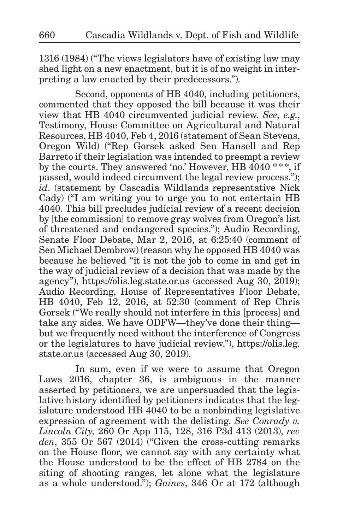1316 (1984) ("The views legislators have of existing law may shed light on a new enactment, but it is of no weight in interpreting a law enacted by their predecessors.").

Second, opponents of HB 4040, including petitioners, commented that they opposed the bill because it was their view that HB 4040 circumvented judicial review. *See, e.g.*, Testimony, House Committee on Agricultural and Natural Resources, HB 4040, Feb 4, 2016 (statement of Sean Stevens, Oregon Wild) ("Rep Gorsek asked Sen Hansell and Rep Barreto if their legislation was intended to preempt a review by the courts. They answered 'no.' However, HB 4040 \*\*\*, if passed, would indeed circumvent the legal review process."); *id*. (statement by Cascadia Wildlands representative Nick Cady) ("I am writing you to urge you to not entertain HB 4040. This bill precludes judicial review of a recent decision by [the commission] to remove gray wolves from Oregon's list of threatened and endangered species."); Audio Recording, Senate Floor Debate, Mar 2, 2016, at 6:25:40 (comment of Sen Michael Dembrow) (reason why he opposed HB 4040 was because he believed "it is not the job to come in and get in the way of judicial review of a decision that was made by the agency"), https://olis.leg.state.or.us (accessed Aug 30, 2019); Audio Recording, House of Representatives Floor Debate, HB 4040, Feb 12, 2016, at 52:30 (comment of Rep Chris Gorsek ("We really should not interfere in this [process] and take any sides. We have ODFW—they've done their thing but we frequently need without the interference of Congress or the legislatures to have judicial review."), https://olis.leg. state.or.us (accessed Aug 30, 2019).

In sum, even if we were to assume that Oregon Laws 2016, chapter 36, is ambiguous in the manner asserted by petitioners, we are unpersuaded that the legislative history identified by petitioners indicates that the legislature understood HB 4040 to be a nonbinding legislative expression of agreement with the delisting. *See Conrady v. Lincoln City*, 260 Or App 115, 128, 316 P3d 413 (2013), *rev den*, 355 Or 567 (2014) ("Given the cross-cutting remarks on the House floor, we cannot say with any certainty what the House understood to be the effect of HB 2784 on the siting of shooting ranges, let alone what the legislature as a whole understood."); *Gaines*, 346 Or at 172 (although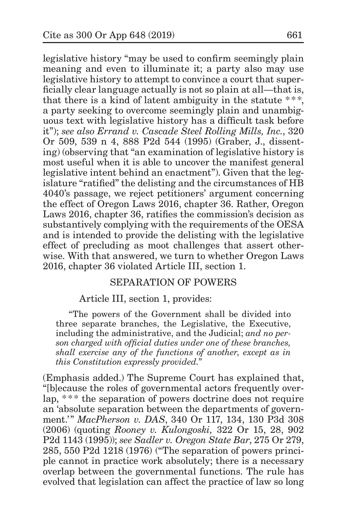legislative history "may be used to confirm seemingly plain meaning and even to illuminate it; a party also may use legislative history to attempt to convince a court that superficially clear language actually is not so plain at all—that is, that there is a kind of latent ambiguity in the statute  $***$ , a party seeking to overcome seemingly plain and unambiguous text with legislative history has a difficult task before it"); *see also Errand v. Cascade Steel Rolling Mills, Inc.*, 320 Or 509, 539 n 4, 888 P2d 544 (1995) (Graber, J., dissenting) (observing that "an examination of legislative history is most useful when it is able to uncover the manifest general legislative intent behind an enactment"). Given that the legislature "ratified" the delisting and the circumstances of HB 4040's passage, we reject petitioners' argument concerning the effect of Oregon Laws 2016, chapter 36. Rather, Oregon Laws 2016, chapter 36, ratifies the commission's decision as substantively complying with the requirements of the OESA and is intended to provide the delisting with the legislative effect of precluding as moot challenges that assert otherwise. With that answered, we turn to whether Oregon Laws 2016, chapter 36 violated Article III, section 1.

# SEPARATION OF POWERS

# Article III, section 1, provides:

"The powers of the Government shall be divided into three separate branches, the Legislative, the Executive, including the administrative, and the Judicial; *and no person charged with official duties under one of these branches, shall exercise any of the functions of another, except as in this Constitution expressly provided.*"

(Emphasis added.) The Supreme Court has explained that, "[b]ecause the roles of governmental actors frequently overlap, \*\* \* the separation of powers doctrine does not require an 'absolute separation between the departments of government.'" *MacPherson v. DAS*, 340 Or 117, 134, 130 P3d 308 (2006) (quoting *Rooney v. Kulongoski,* 322 Or 15, 28, 902 P2d 1143 (1995)); *see Sadler v. Oregon State Bar*, 275 Or 279, 285, 550 P2d 1218 (1976) ("The separation of powers principle cannot in practice work absolutely; there is a necessary overlap between the governmental functions. The rule has evolved that legislation can affect the practice of law so long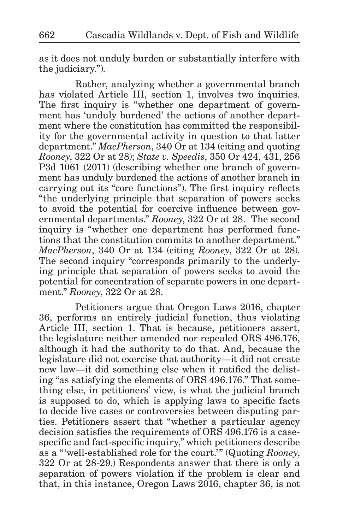as it does not unduly burden or substantially interfere with the judiciary.").

Rather, analyzing whether a governmental branch has violated Article III, section 1, involves two inquiries. The first inquiry is "whether one department of government has 'unduly burdened' the actions of another department where the constitution has committed the responsibility for the governmental activity in question to that latter department." *MacPherson*, 340 Or at 134 (citing and quoting *Rooney*, 322 Or at 28); *State v. Speedis*, 350 Or 424, 431, 256 P3d 1061 (2011) (describing whether one branch of government has unduly burdened the actions of another branch in carrying out its "core functions"). The first inquiry reflects "the underlying principle that separation of powers seeks to avoid the potential for coercive influence between governmental departments." *Rooney*, 322 Or at 28. The second inquiry is "whether one department has performed functions that the constitution commits to another department." *MacPherson*, 340 Or at 134 (citing *Rooney*, 322 Or at 28). The second inquiry "corresponds primarily to the underlying principle that separation of powers seeks to avoid the potential for concentration of separate powers in one department." *Rooney*, 322 Or at 28.

Petitioners argue that Oregon Laws 2016, chapter 36, performs an entirely judicial function, thus violating Article III, section 1. That is because, petitioners assert, the legislature neither amended nor repealed ORS 496.176, although it had the authority to do that. And, because the legislature did not exercise that authority—it did not create new law—it did something else when it ratified the delisting "as satisfying the elements of ORS 496.176." That something else, in petitioners' view, is what the judicial branch is supposed to do, which is applying laws to specific facts to decide live cases or controversies between disputing parties. Petitioners assert that "whether a particular agency decision satisfies the requirements of ORS 496.176 is a casespecific and fact-specific inquiry," which petitioners describe as a "'well-established role for the court.'" (Quoting *Rooney*, 322 Or at 28-29.) Respondents answer that there is only a separation of powers violation if the problem is clear and that, in this instance, Oregon Laws 2016, chapter 36, is not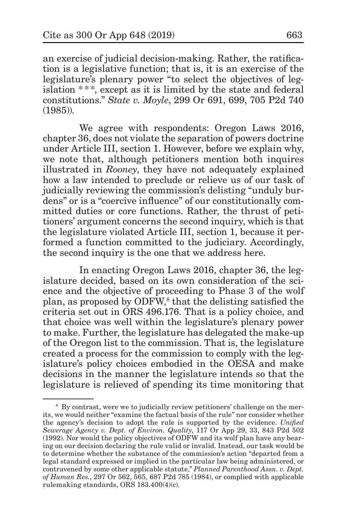an exercise of judicial decision-making. Rather, the ratification is a legislative function; that is, it is an exercise of the legislature's plenary power "to select the objectives of legislation \*\* \*, except as it is limited by the state and federal constitutions." *State v. Moyle*, 299 Or 691, 699, 705 P2d 740 (1985)).

We agree with respondents: Oregon Laws 2016, chapter 36, does not violate the separation of powers doctrine under Article III, section 1. However, before we explain why, we note that, although petitioners mention both inquires illustrated in *Rooney*, they have not adequately explained how a law intended to preclude or relieve us of our task of judicially reviewing the commission's delisting "unduly burdens" or is a "coercive influence" of our constitutionally committed duties or core functions. Rather, the thrust of petitioners' argument concerns the second inquiry, which is that the legislature violated Article III, section 1, because it performed a function committed to the judiciary. Accordingly, the second inquiry is the one that we address here.

In enacting Oregon Laws 2016, chapter 36, the legislature decided, based on its own consideration of the science and the objective of proceeding to Phase 3 of the wolf plan, as proposed by ODFW,<sup>8</sup> that the delisting satisfied the criteria set out in ORS 496.176. That is a policy choice, and that choice was well within the legislature's plenary power to make. Further, the legislature has delegated the make-up of the Oregon list to the commission. That is, the legislature created a process for the commission to comply with the legislature's policy choices embodied in the OESA and make decisions in the manner the legislature intends so that the legislature is relieved of spending its time monitoring that

<sup>8</sup> By contrast, were we to judicially review petitioners' challenge on the merits, we would neither "examine the factual basis of the rule" nor consider whether the agency's decision to adopt the rule is supported by the evidence. *Unified Sewerage Agency v. Dept. of Environ. Quality*, 117 Or App 29, 33, 843 P2d 502 (1992). Nor would the policy objectives of ODFW and its wolf plan have any bearing on our decision declaring the rule valid or invalid. Instead, our task would be to determine whether the substance of the commission's action "departed from a legal standard expressed or implied in the particular law being administered, or contravened by some other applicable statute," *Planned Parenthood Assn. v. Dept. of Human Res.*, 297 Or 562, 565, 687 P2d 785 (1984), or complied with applicable rulemaking standards, ORS 183.400(4)(c).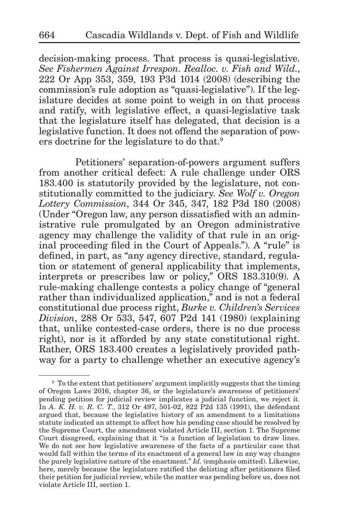decision-making process. That process is quasi-legislative. *See Fishermen Against Irrespon. Realloc. v. Fish and Wild.*, 222 Or App 353, 359, 193 P3d 1014 (2008) (describing the commission's rule adoption as "quasi-legislative"). If the legislature decides at some point to weigh in on that process and ratify, with legislative effect, a quasi-legislative task that the legislature itself has delegated, that decision is a legislative function. It does not offend the separation of powers doctrine for the legislature to do that.<sup>9</sup>

Petitioners' separation-of-powers argument suffers from another critical defect: A rule challenge under ORS 183.400 is statutorily provided by the legislature, not constitutionally committed to the judiciary. *See Wolf v. Oregon Lottery Commission*, 344 Or 345, 347, 182 P3d 180 (2008) (Under "Oregon law, any person dissatisfied with an administrative rule promulgated by an Oregon administrative agency may challenge the validity of that rule in an original proceeding filed in the Court of Appeals."). A "rule" is defined, in part, as "any agency directive, standard, regulation or statement of general applicability that implements, interprets or prescribes law or policy," ORS 183.310(9). A rule-making challenge contests a policy change of "general rather than individualized application," and is not a federal constitutional due process right, *Burke v. Children's Services Division*, 288 Or 533, 547, 607 P2d 141 (1980) (explaining that, unlike contested-case orders, there is no due process right), nor is it afforded by any state constitutional right. Rather, ORS 183.400 creates a legislatively provided pathway for a party to challenge whether an executive agency's

<sup>9</sup> To the extent that petitioners' argument implicitly suggests that the timing of Oregon Laws 2016, chapter 36, or the legislature's awareness of petitioners' pending petition for judicial review implicates a judicial function, we reject it. In *A. K. H. v. R. C. T*., 312 Or 497, 501-02, 822 P2d 135 (1991), the defendant argued that, because the legislative history of an amendment to a limitations statute indicated an attempt to affect how his pending case should be resolved by the Supreme Court, the amendment violated Article III, section 1. The Supreme Court disagreed, explaining that it "is a function of legislation to draw lines. We do not see how legislative awareness of the facts of a particular case that would fall within the terms of its enactment of a general law in any way changes the purely legislative nature of the enactment." *Id.* (emphasis omitted). Likewise, here, merely because the legislature ratified the delisting after petitioners filed their petition for judicial review, while the matter was pending before us, does not violate Article III, section 1.